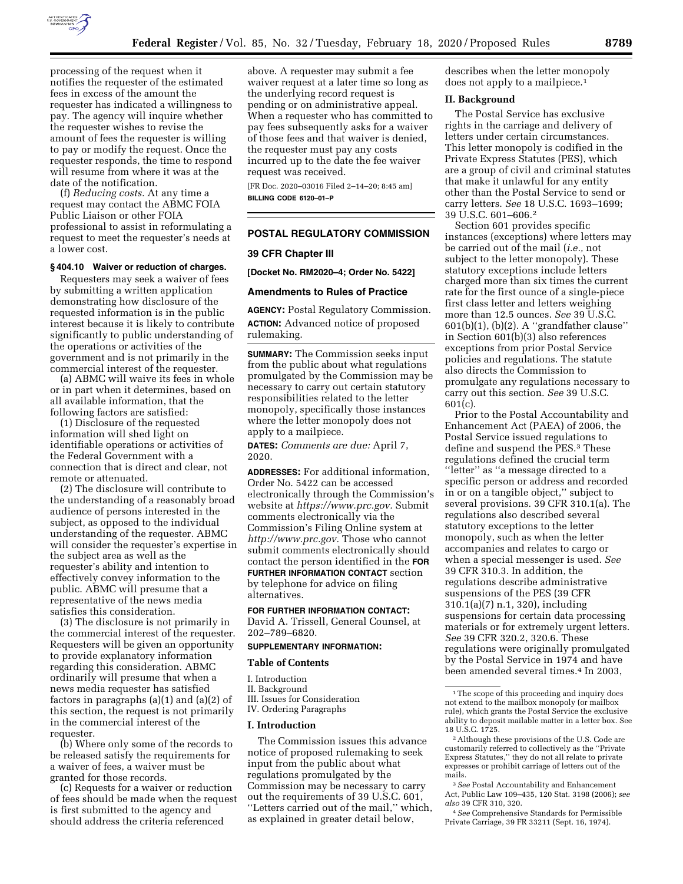

processing of the request when it notifies the requester of the estimated fees in excess of the amount the requester has indicated a willingness to pay. The agency will inquire whether the requester wishes to revise the amount of fees the requester is willing to pay or modify the request. Once the requester responds, the time to respond will resume from where it was at the date of the notification.

(f) *Reducing costs.* At any time a request may contact the ABMC FOIA Public Liaison or other FOIA professional to assist in reformulating a request to meet the requester's needs at a lower cost.

#### **§ 404.10 Waiver or reduction of charges.**

Requesters may seek a waiver of fees by submitting a written application demonstrating how disclosure of the requested information is in the public interest because it is likely to contribute significantly to public understanding of the operations or activities of the government and is not primarily in the commercial interest of the requester.

(a) ABMC will waive its fees in whole or in part when it determines, based on all available information, that the following factors are satisfied:

(1) Disclosure of the requested information will shed light on identifiable operations or activities of the Federal Government with a connection that is direct and clear, not remote or attenuated.

(2) The disclosure will contribute to the understanding of a reasonably broad audience of persons interested in the subject, as opposed to the individual understanding of the requester. ABMC will consider the requester's expertise in the subject area as well as the requester's ability and intention to effectively convey information to the public. ABMC will presume that a representative of the news media satisfies this consideration.

(3) The disclosure is not primarily in the commercial interest of the requester. Requesters will be given an opportunity to provide explanatory information regarding this consideration. ABMC ordinarily will presume that when a news media requester has satisfied factors in paragraphs (a)(1) and (a)(2) of this section, the request is not primarily in the commercial interest of the requester.

(b) Where only some of the records to be released satisfy the requirements for a waiver of fees, a waiver must be granted for those records.

(c) Requests for a waiver or reduction of fees should be made when the request is first submitted to the agency and should address the criteria referenced

above. A requester may submit a fee waiver request at a later time so long as the underlying record request is pending or on administrative appeal. When a requester who has committed to pay fees subsequently asks for a waiver of those fees and that waiver is denied, the requester must pay any costs incurred up to the date the fee waiver request was received.

[FR Doc. 2020–03016 Filed 2–14–20; 8:45 am] **BILLING CODE 6120–01–P** 

## **POSTAL REGULATORY COMMISSION**

### **39 CFR Chapter III**

**[Docket No. RM2020–4; Order No. 5422]** 

## **Amendments to Rules of Practice**

**AGENCY:** Postal Regulatory Commission. **ACTION:** Advanced notice of proposed rulemaking.

**SUMMARY:** The Commission seeks input from the public about what regulations promulgated by the Commission may be necessary to carry out certain statutory responsibilities related to the letter monopoly, specifically those instances where the letter monopoly does not apply to a mailpiece.

**DATES:** *Comments are due:* April 7, 2020.

**ADDRESSES:** For additional information, Order No. 5422 can be accessed electronically through the Commission's website at *[https://www.prc.gov.](https://www.prc.gov)* Submit comments electronically via the Commission's Filing Online system at *[http://www.prc.gov.](http://www.prc.gov)* Those who cannot submit comments electronically should contact the person identified in the **FOR FURTHER INFORMATION CONTACT** section by telephone for advice on filing alternatives.

### **FOR FURTHER INFORMATION CONTACT:**

David A. Trissell, General Counsel, at 202–789–6820.

## **SUPPLEMENTARY INFORMATION:**

#### **Table of Contents**

I. Introduction

II. Background III. Issues for Consideration IV. Ordering Paragraphs

#### **I. Introduction**

The Commission issues this advance notice of proposed rulemaking to seek input from the public about what regulations promulgated by the Commission may be necessary to carry out the requirements of 39 U.S.C. 601, ''Letters carried out of the mail,'' which, as explained in greater detail below,

describes when the letter monopoly does not apply to a mailpiece.1

## **II. Background**

The Postal Service has exclusive rights in the carriage and delivery of letters under certain circumstances. This letter monopoly is codified in the Private Express Statutes (PES), which are a group of civil and criminal statutes that make it unlawful for any entity other than the Postal Service to send or carry letters. *See* 18 U.S.C. 1693–1699; 39 U.S.C. 601–606.2

Section 601 provides specific instances (exceptions) where letters may be carried out of the mail (*i.e.,* not subject to the letter monopoly). These statutory exceptions include letters charged more than six times the current rate for the first ounce of a single-piece first class letter and letters weighing more than 12.5 ounces. *See* 39 U.S.C. 601(b)(1), (b)(2). A ''grandfather clause'' in Section 601(b)(3) also references exceptions from prior Postal Service policies and regulations. The statute also directs the Commission to promulgate any regulations necessary to carry out this section. *See* 39 U.S.C. 601(c).

Prior to the Postal Accountability and Enhancement Act (PAEA) of 2006, the Postal Service issued regulations to define and suspend the PES.3 These regulations defined the crucial term ''letter'' as ''a message directed to a specific person or address and recorded in or on a tangible object,'' subject to several provisions. 39 CFR 310.1(a). The regulations also described several statutory exceptions to the letter monopoly, such as when the letter accompanies and relates to cargo or when a special messenger is used. *See*  39 CFR 310.3. In addition, the regulations describe administrative suspensions of the PES (39 CFR 310.1(a)(7) n.1, 320), including suspensions for certain data processing materials or for extremely urgent letters. *See* 39 CFR 320.2, 320.6. These regulations were originally promulgated by the Postal Service in 1974 and have been amended several times.4 In 2003,

<sup>&</sup>lt;sup>1</sup> The scope of this proceeding and inquiry does not extend to the mailbox monopoly (or mailbox rule), which grants the Postal Service the exclusive ability to deposit mailable matter in a letter box. See 18 U.S.C. 1725.

<sup>2</sup>Although these provisions of the U.S. Code are customarily referred to collectively as the ''Private Express Statutes,'' they do not all relate to private expresses or prohibit carriage of letters out of the mails.

<sup>3</sup>*See* Postal Accountability and Enhancement Act, Public Law 109–435, 120 Stat. 3198 (2006); *see also* 39 CFR 310, 320.

<sup>4</sup>*See* Comprehensive Standards for Permissible Private Carriage, 39 FR 33211 (Sept. 16, 1974).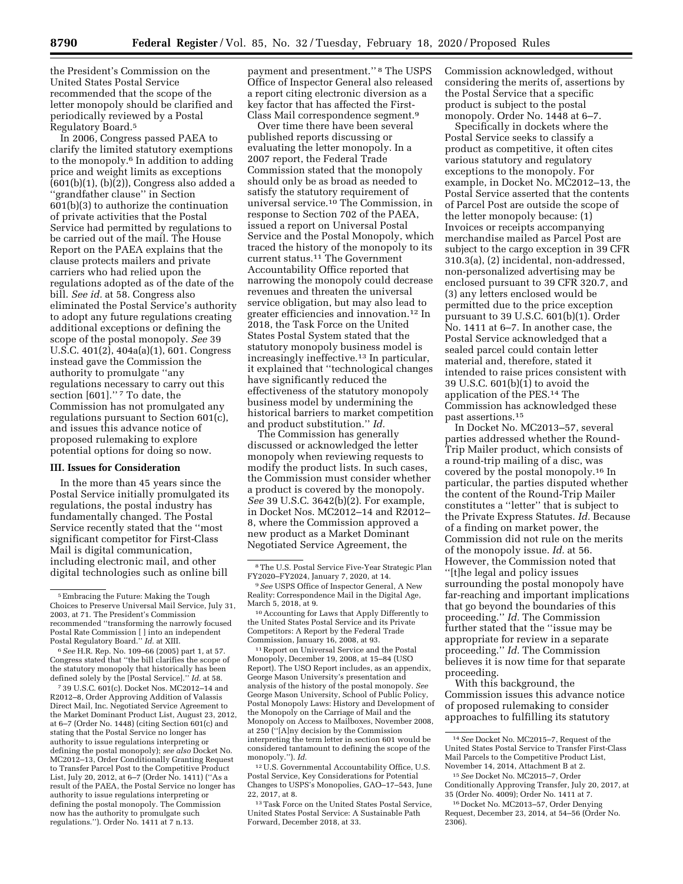the President's Commission on the United States Postal Service recommended that the scope of the letter monopoly should be clarified and periodically reviewed by a Postal Regulatory Board.5

In 2006, Congress passed PAEA to clarify the limited statutory exemptions to the monopoly.6 In addition to adding price and weight limits as exceptions  $(601(b)(1), (b)(2))$ , Congress also added a ''grandfather clause'' in Section 601(b)(3) to authorize the continuation of private activities that the Postal Service had permitted by regulations to be carried out of the mail. The House Report on the PAEA explains that the clause protects mailers and private carriers who had relied upon the regulations adopted as of the date of the bill. *See id.* at 58. Congress also eliminated the Postal Service's authority to adopt any future regulations creating additional exceptions or defining the scope of the postal monopoly. *See* 39 U.S.C. 401(2), 404a(a)(1), 601. Congress instead gave the Commission the authority to promulgate ''any regulations necessary to carry out this section [601]."<sup>7</sup> To date, the Commission has not promulgated any regulations pursuant to Section 601(c), and issues this advance notice of proposed rulemaking to explore potential options for doing so now.

### **III. Issues for Consideration**

In the more than 45 years since the Postal Service initially promulgated its regulations, the postal industry has fundamentally changed. The Postal Service recently stated that the ''most significant competitor for First-Class Mail is digital communication, including electronic mail, and other digital technologies such as online bill

7 39 U.S.C. 601(c). Docket Nos. MC2012–14 and R2012–8, Order Approving Addition of Valassis Direct Mail, Inc. Negotiated Service Agreement to the Market Dominant Product List, August 23, 2012, at 6–7 (Order No. 1448) (citing Section 601(c) and stating that the Postal Service no longer has authority to issue regulations interpreting or defining the postal monopoly); *see also* Docket No. MC2012–13, Order Conditionally Granting Request to Transfer Parcel Post to the Competitive Product List, July 20, 2012, at 6-7 (Order No. 1411) ("As a result of the PAEA, the Postal Service no longer has authority to issue regulations interpreting or defining the postal monopoly. The Commission now has the authority to promulgate such regulations.''). Order No. 1411 at 7 n.13.

payment and presentment.'' 8 The USPS Office of Inspector General also released a report citing electronic diversion as a key factor that has affected the First-Class Mail correspondence segment.9

Over time there have been several published reports discussing or evaluating the letter monopoly. In a 2007 report, the Federal Trade Commission stated that the monopoly should only be as broad as needed to satisfy the statutory requirement of universal service.10 The Commission, in response to Section 702 of the PAEA, issued a report on Universal Postal Service and the Postal Monopoly, which traced the history of the monopoly to its current status.11 The Government Accountability Office reported that narrowing the monopoly could decrease revenues and threaten the universal service obligation, but may also lead to greater efficiencies and innovation.12 In 2018, the Task Force on the United States Postal System stated that the statutory monopoly business model is increasingly ineffective.<sup>13</sup> In particular, it explained that ''technological changes have significantly reduced the effectiveness of the statutory monopoly business model by undermining the historical barriers to market competition and product substitution.'' *Id.* 

The Commission has generally discussed or acknowledged the letter monopoly when reviewing requests to modify the product lists. In such cases, the Commission must consider whether a product is covered by the monopoly. *See* 39 U.S.C. 3642(b)(2). For example, in Docket Nos. MC2012–14 and R2012– 8, where the Commission approved a new product as a Market Dominant Negotiated Service Agreement, the

11Report on Universal Service and the Postal Monopoly, December 19, 2008, at 15–84 (USO Report). The USO Report includes, as an appendix, George Mason University's presentation and analysis of the history of the postal monopoly. *See*  George Mason University, School of Public Policy, Postal Monopoly Laws: History and Development of the Monopoly on the Carriage of Mail and the Monopoly on Access to Mailboxes, November 2008, at 250 (''[A]ny decision by the Commission interpreting the term letter in section 601 would be considered tantamount to defining the scope of the monopoly.''). *Id.* 

12U.S. Governmental Accountability Office, U.S. Postal Service, Key Considerations for Potential Changes to USPS's Monopolies, GAO–17–543, June 22, 2017, at 8.

13Task Force on the United States Postal Service, United States Postal Service: A Sustainable Path Forward, December 2018, at 33.

Commission acknowledged, without considering the merits of, assertions by the Postal Service that a specific product is subject to the postal monopoly. Order No. 1448 at 6–7.

Specifically in dockets where the Postal Service seeks to classify a product as competitive, it often cites various statutory and regulatory exceptions to the monopoly. For example, in Docket No. MC2012–13, the Postal Service asserted that the contents of Parcel Post are outside the scope of the letter monopoly because: (1) Invoices or receipts accompanying merchandise mailed as Parcel Post are subject to the cargo exception in 39 CFR 310.3(a), (2) incidental, non-addressed, non-personalized advertising may be enclosed pursuant to 39 CFR 320.7, and (3) any letters enclosed would be permitted due to the price exception pursuant to 39 U.S.C. 601(b)(1). Order No. 1411 at 6–7. In another case, the Postal Service acknowledged that a sealed parcel could contain letter material and, therefore, stated it intended to raise prices consistent with 39 U.S.C.  $601(b)(1)$  to avoid the application of the PES.14 The Commission has acknowledged these past assertions.15

In Docket No. MC2013–57, several parties addressed whether the Round-Trip Mailer product, which consists of a round-trip mailing of a disc, was covered by the postal monopoly.16 In particular, the parties disputed whether the content of the Round-Trip Mailer constitutes a ''letter'' that is subject to the Private Express Statutes. *Id.* Because of a finding on market power, the Commission did not rule on the merits of the monopoly issue. *Id.* at 56. However, the Commission noted that ''[t]he legal and policy issues surrounding the postal monopoly have far-reaching and important implications that go beyond the boundaries of this proceeding.'' *Id.* The Commission further stated that the ''issue may be appropriate for review in a separate proceeding.'' *Id.* The Commission believes it is now time for that separate proceeding.

With this background, the Commission issues this advance notice of proposed rulemaking to consider approaches to fulfilling its statutory

<sup>5</sup>Embracing the Future: Making the Tough Choices to Preserve Universal Mail Service, July 31, 2003, at 71. The President's Commission recommended ''transforming the narrowly focused Postal Rate Commission [ ] into an independent Postal Regulatory Board.'' *Id.* at XIII.

<sup>6</sup>*See* H.R. Rep. No. 109–66 (2005) part 1, at 57. Congress stated that ''the bill clarifies the scope of the statutory monopoly that historically has been defined solely by the [Postal Service].'' *Id.* at 58.

<sup>8</sup>The U.S. Postal Service Five-Year Strategic Plan FY2020–FY2024, January 7, 2020, at 14.

<sup>9</sup>*See* USPS Office of Inspector General, A New Reality: Correspondence Mail in the Digital Age, March 5, 2018, at 9.

<sup>10</sup>Accounting for Laws that Apply Differently to the United States Postal Service and its Private Competitors: A Report by the Federal Trade Commission, January 16, 2008, at 93.

<sup>14</sup>*See* Docket No. MC2015–7, Request of the United States Postal Service to Transfer First-Class Mail Parcels to the Competitive Product List, November 14, 2014, Attachment B at 2.

<sup>15</sup>*See* Docket No. MC2015–7, Order Conditionally Approving Transfer, July 20, 2017, at 35 (Order No. 4009); Order No. 1411 at 7.

<sup>16</sup> Docket No. MC2013–57, Order Denying Request, December 23, 2014, at 54–56 (Order No. 2306).